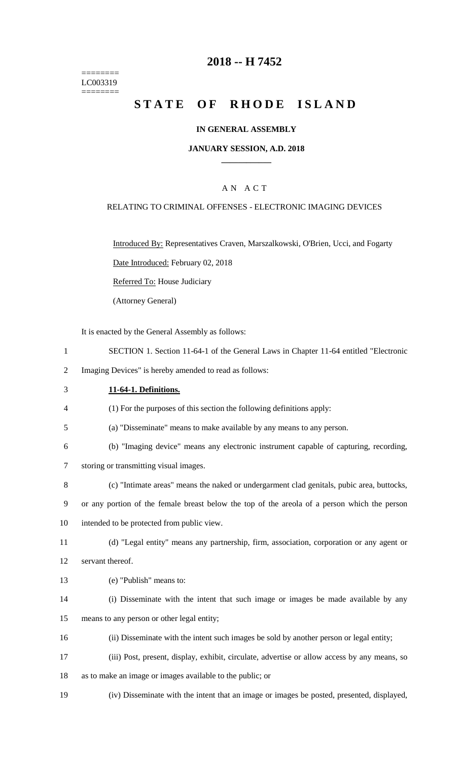======== LC003319 ========

## **2018 -- H 7452**

# **STATE OF RHODE ISLAND**

## **IN GENERAL ASSEMBLY**

## **JANUARY SESSION, A.D. 2018 \_\_\_\_\_\_\_\_\_\_\_\_**

## A N A C T

#### RELATING TO CRIMINAL OFFENSES - ELECTRONIC IMAGING DEVICES

Introduced By: Representatives Craven, Marszalkowski, O'Brien, Ucci, and Fogarty

Date Introduced: February 02, 2018

Referred To: House Judiciary

(Attorney General)

It is enacted by the General Assembly as follows:

1 SECTION 1. Section 11-64-1 of the General Laws in Chapter 11-64 entitled "Electronic

2 Imaging Devices" is hereby amended to read as follows:

3 **11-64-1. Definitions.**

4 (1) For the purposes of this section the following definitions apply:

- 5 (a) "Disseminate" means to make available by any means to any person.
- 6 (b) "Imaging device" means any electronic instrument capable of capturing, recording,

7 storing or transmitting visual images.

- 8 (c) "Intimate areas" means the naked or undergarment clad genitals, pubic area, buttocks,
- 9 or any portion of the female breast below the top of the areola of a person which the person

10 intended to be protected from public view.

11 (d) "Legal entity" means any partnership, firm, association, corporation or any agent or 12 servant thereof.

- 13 (e) "Publish" means to:
- 14 (i) Disseminate with the intent that such image or images be made available by any

15 means to any person or other legal entity;

- 16 (ii) Disseminate with the intent such images be sold by another person or legal entity;
- 17 (iii) Post, present, display, exhibit, circulate, advertise or allow access by any means, so
- 18 as to make an image or images available to the public; or
- 19 (iv) Disseminate with the intent that an image or images be posted, presented, displayed,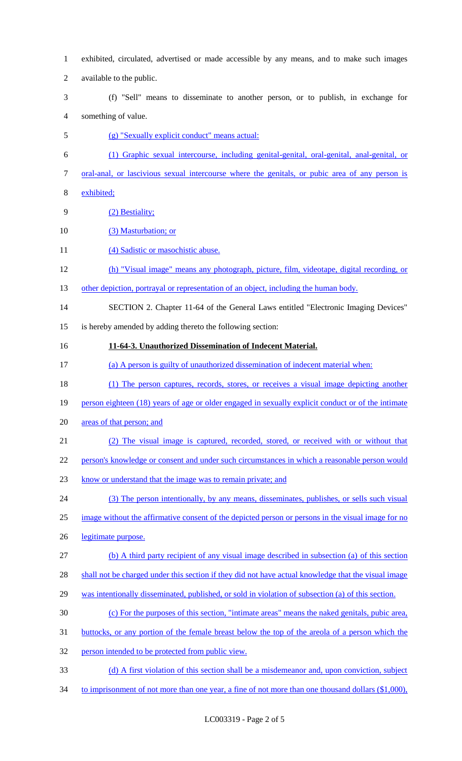- exhibited, circulated, advertised or made accessible by any means, and to make such images available to the public. (f) "Sell" means to disseminate to another person, or to publish, in exchange for something of value. (g) "Sexually explicit conduct" means actual: (1) Graphic sexual intercourse, including genital-genital, oral-genital, anal-genital, or oral-anal, or lascivious sexual intercourse where the genitals, or pubic area of any person is exhibited; (2) Bestiality; (3) Masturbation; or 11 (4) Sadistic or masochistic abuse. (h) "Visual image" means any photograph, picture, film, videotape, digital recording, or 13 other depiction, portrayal or representation of an object, including the human body. SECTION 2. Chapter 11-64 of the General Laws entitled "Electronic Imaging Devices" is hereby amended by adding thereto the following section: **11-64-3. Unauthorized Dissemination of Indecent Material.** (a) A person is guilty of unauthorized dissemination of indecent material when: (1) The person captures, records, stores, or receives a visual image depicting another person eighteen (18) years of age or older engaged in sexually explicit conduct or of the intimate areas of that person; and (2) The visual image is captured, recorded, stored, or received with or without that person's knowledge or consent and under such circumstances in which a reasonable person would know or understand that the image was to remain private; and (3) The person intentionally, by any means, disseminates, publishes, or sells such visual image without the affirmative consent of the depicted person or persons in the visual image for no legitimate purpose. (b) A third party recipient of any visual image described in subsection (a) of this section shall not be charged under this section if they did not have actual knowledge that the visual image was intentionally disseminated, published, or sold in violation of subsection (a) of this section. (c) For the purposes of this section, "intimate areas" means the naked genitals, pubic area, buttocks, or any portion of the female breast below the top of the areola of a person which the person intended to be protected from public view. (d) A first violation of this section shall be a misdemeanor and, upon conviction, subject
- 34 to imprisonment of not more than one year, a fine of not more than one thousand dollars (\$1,000),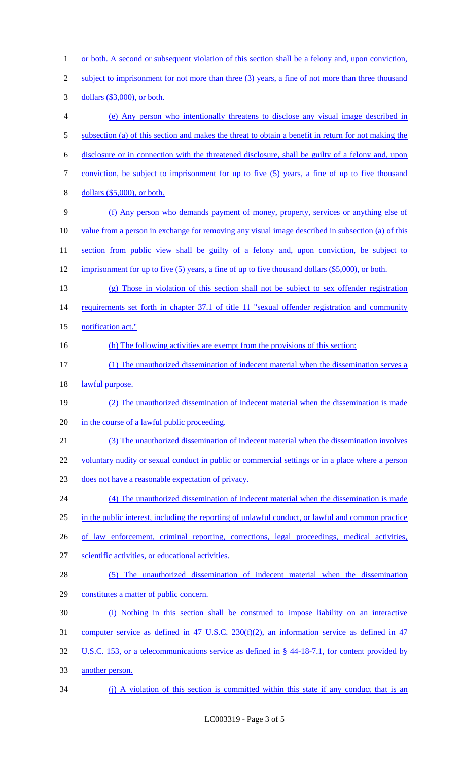1 or both. A second or subsequent violation of this section shall be a felony and, upon conviction, 2 subject to imprisonment for not more than three (3) years, a fine of not more than three thousand 3 dollars (\$3,000), or both. 4 (e) Any person who intentionally threatens to disclose any visual image described in 5 subsection (a) of this section and makes the threat to obtain a benefit in return for not making the 6 disclosure or in connection with the threatened disclosure, shall be guilty of a felony and, upon 7 conviction, be subject to imprisonment for up to five (5) years, a fine of up to five thousand 8 dollars (\$5,000), or both. 9 (f) Any person who demands payment of money, property, services or anything else of 10 value from a person in exchange for removing any visual image described in subsection (a) of this 11 section from public view shall be guilty of a felony and, upon conviction, be subject to 12 imprisonment for up to five (5) years, a fine of up to five thousand dollars (\$5,000), or both. 13 (g) Those in violation of this section shall not be subject to sex offender registration 14 requirements set forth in chapter 37.1 of title 11 "sexual offender registration and community 15 notification act." 16 (h) The following activities are exempt from the provisions of this section: 17 (1) The unauthorized dissemination of indecent material when the dissemination serves a 18 lawful purpose. 19 (2) The unauthorized dissemination of indecent material when the dissemination is made 20 in the course of a lawful public proceeding. 21 (3) The unauthorized dissemination of indecent material when the dissemination involves 22 voluntary nudity or sexual conduct in public or commercial settings or in a place where a person 23 does not have a reasonable expectation of privacy. 24 (4) The unauthorized dissemination of indecent material when the dissemination is made 25 in the public interest, including the reporting of unlawful conduct, or lawful and common practice 26 of law enforcement, criminal reporting, corrections, legal proceedings, medical activities, 27 scientific activities, or educational activities. 28 (5) The unauthorized dissemination of indecent material when the dissemination 29 constitutes a matter of public concern. 30 (i) Nothing in this section shall be construed to impose liability on an interactive 31 computer service as defined in 47 U.S.C. 230(f)(2), an information service as defined in 47 32 U.S.C. 153, or a telecommunications service as defined in § 44-18-7.1, for content provided by 33 another person. 34 (j) A violation of this section is committed within this state if any conduct that is an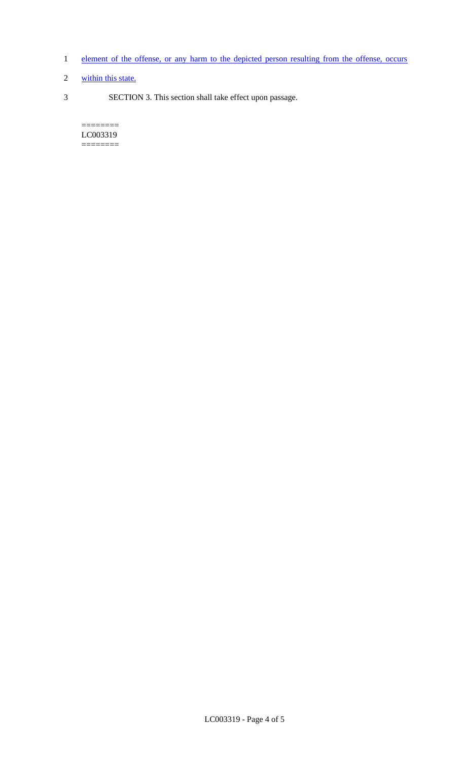- 1 element of the offense, or any harm to the depicted person resulting from the offense, occurs
- 2 within this state.
- 3 SECTION 3. This section shall take effect upon passage.

 $=$ LC003319 ========